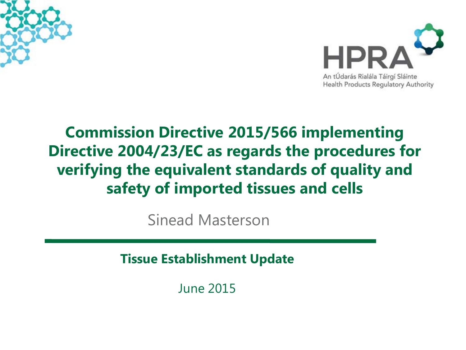



#### **Commission Directive 2015/566 implementing Directive 2004/23/EC as regards the procedures for verifying the equivalent standards of quality and safety of imported tissues and cells**

Sinead Masterson

**Tissue Establishment Update**

June 2015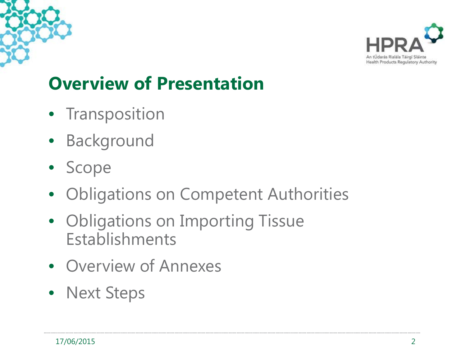



# **Overview of Presentation**

- Transposition
- Background
- Scope
- Obligations on Competent Authorities
- Obligations on Importing Tissue Establishments
- Overview of Annexes
- Next Steps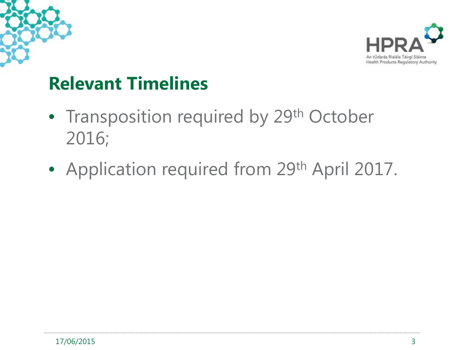



### **Relevant Timelines**

- Transposition required by 29<sup>th</sup> October 2016;
- Application required from 29<sup>th</sup> April 2017.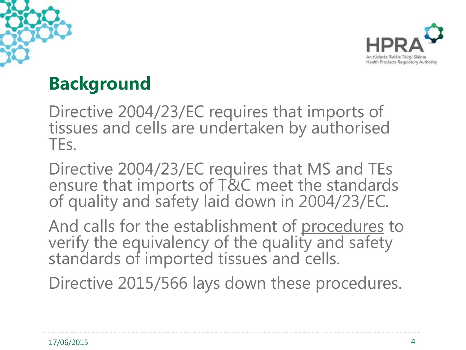



# **Background**

Directive 2004/23/EC requires that imports of tissues and cells are undertaken by authorised TEs.

Directive 2004/23/EC requires that MS and TEs ensure that imports of T&C meet the standards of quality and safety laid down in 2004/23/EC.

And calls for the establishment of procedures to verify the equivalency of the quality and safety standards of imported tissues and cells.

Directive 2015/566 lays down these procedures.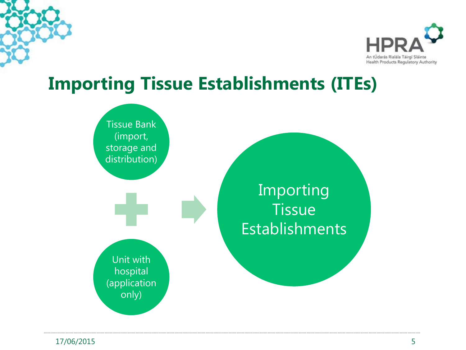



#### **Importing Tissue Establishments (ITEs)**



.................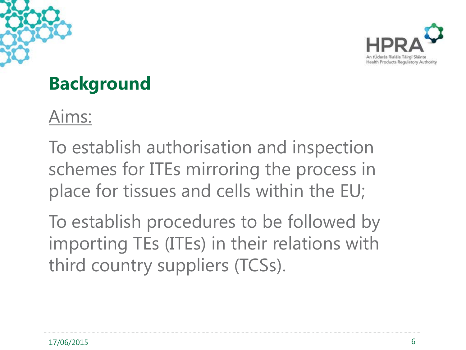

# **Background**

Aims:

To establish authorisation and inspection schemes for ITEs mirroring the process in place for tissues and cells within the EU;

To establish procedures to be followed by importing TEs (ITEs) in their relations with third country suppliers (TCSs).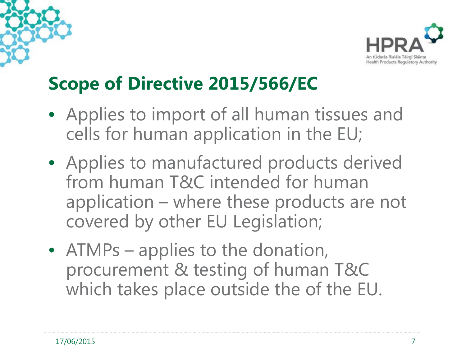

# **Scope of Directive 2015/566/EC**

- Applies to import of all human tissues and cells for human application in the EU;
- Applies to manufactured products derived from human T&C intended for human application – where these products are not covered by other EU Legislation;
- ATMPs applies to the donation, procurement & testing of human T&C which takes place outside the of the EU.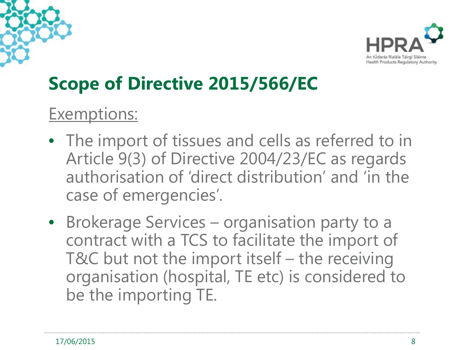

# **Scope of Directive 2015/566/EC**

### Exemptions:

- The import of tissues and cells as referred to in Article 9(3) of Directive 2004/23/EC as regards authorisation of 'direct distribution' and 'in the case of emergencies'.
- Brokerage Services organisation party to a contract with a TCS to facilitate the import of T&C but not the import itself – the receiving organisation (hospital, TE etc) is considered to be the importing TE.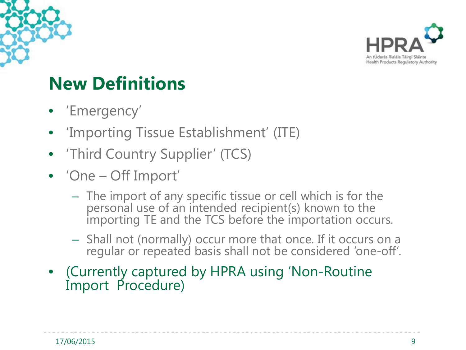

## **New Definitions**

- 'Emergency'
- 'Importing Tissue Establishment' (ITE)
- 'Third Country Supplier' (TCS)
- 'One Off Import'
	- The import of any specific tissue or cell which is for the personal use of an intended recipient(s) known to the importing TE and the TCS before the importation occurs.
	- Shall not (normally) occur more that once. If it occurs on a regular or repeated basis shall not be considered 'one-off'.
- (Currently captured by HPRA using 'Non-Routine Import Procedure)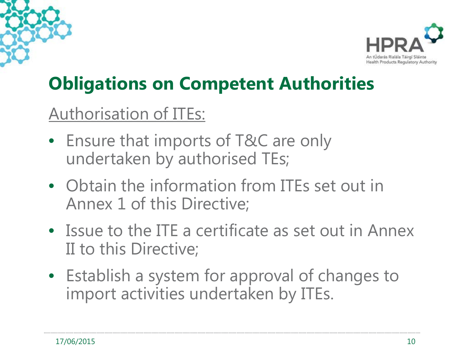

# **Obligations on Competent Authorities**

#### Authorisation of ITEs:

- Ensure that imports of T&C are only undertaken by authorised TEs;
- Obtain the information from ITEs set out in Annex 1 of this Directive;
- Issue to the ITE a certificate as set out in Annex II to this Directive;
- Establish a system for approval of changes to import activities undertaken by ITEs.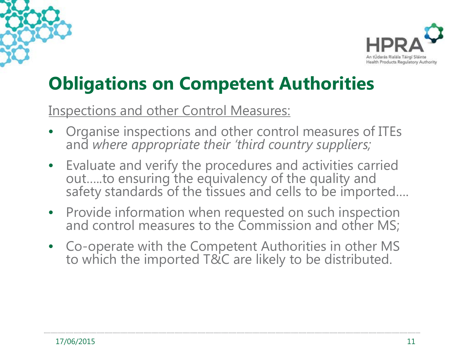

# **Obligations on Competent Authorities**

#### Inspections and other Control Measures:

- Organise inspections and other control measures of ITEs and *where appropriate their 'third country suppliers;*
- Evaluate and verify the procedures and activities carried out…..to ensuring the equivalency of the quality and safety standards of the tissues and cells to be imported….
- Provide information when requested on such inspection and control measures to the Commission and other MS;
- Co-operate with the Competent Authorities in other MS to which the imported T&C are likely to be distributed.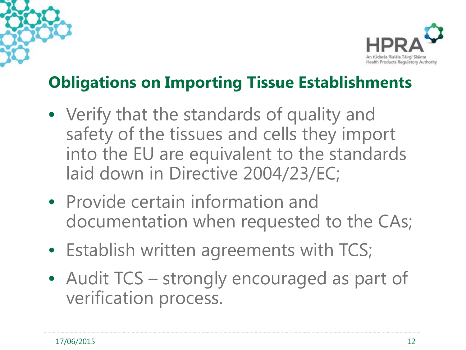



- Verify that the standards of quality and safety of the tissues and cells they import into the EU are equivalent to the standards laid down in Directive 2004/23/EC;
- Provide certain information and documentation when requested to the CAs;
- Establish written agreements with TCS;
- Audit TCS strongly encouraged as part of verification process.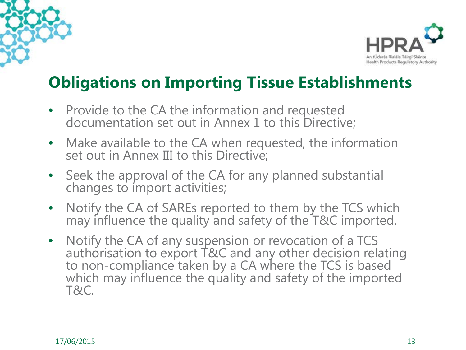



- Provide to the CA the information and requested documentation set out in Annex 1 to this Directive;
- Make available to the CA when requested, the information set out in Annex III to this Directive;
- Seek the approval of the CA for any planned substantial changes to import activities;
- Notify the CA of SAREs reported to them by the TCS which may influence the quality and safety of the T&C imported.
- Notify the CA of any suspension or revocation of a TCS authorisation to export T&C and any other decision relating to non-compliance taken by a CA where the TCS is based which may influence the quality and safety of the imported T&C.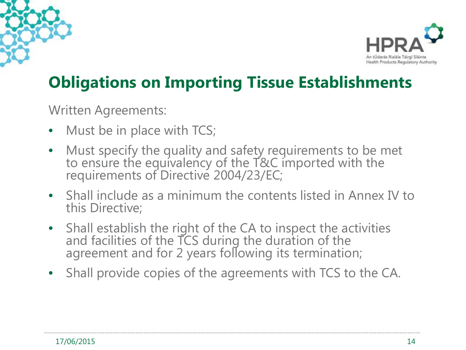



Written Agreements:

- Must be in place with TCS;
- Must specify the quality and safety requirements to be met to ensure the equivalency of the T&C imported with the requirements of Directive 2004/23/EC;
- Shall include as a minimum the contents listed in Annex IV to this Directive;
- Shall establish the right of the CA to inspect the activities and facilities of the TCS during the duration of the agreement and for 2 years following its termination;
- Shall provide copies of the agreements with TCS to the CA.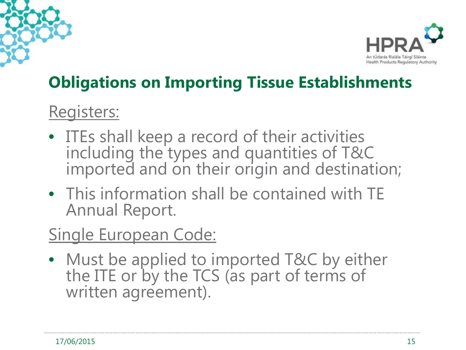

#### Registers:

- ITEs shall keep a record of their activities<br>including the types and quantities of T&C imported and on their origin and destination;
- This information shall be contained with TE Annual Report.

### Single European Code:

• Must be applied to imported T&C by either the ITE or by the TCS (as part of terms of written agreement).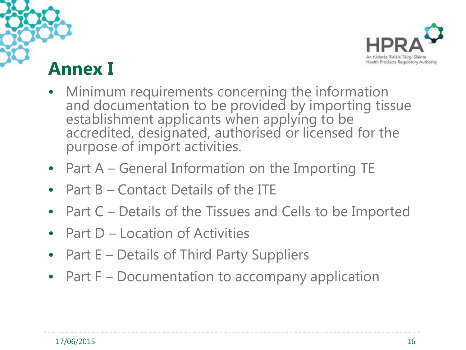

#### **Annex I**

- Minimum requirements concerning the information and documentation to be provided by importing tissue establishment applicants when applying to be accredited, designated, authorised or licensed for the purpose of import activities.
- Part A General Information on the Importing TE
- Part B Contact Details of the ITE
- Part C Details of the Tissues and Cells to be Imported
- Part D Location of Activities
- Part E Details of Third Party Suppliers
- Part F Documentation to accompany application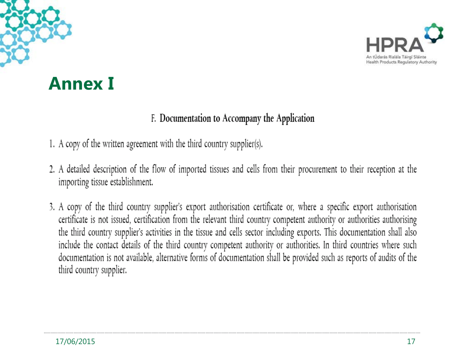



#### **Annex I**

#### F. Documentation to Accompany the Application

1. A copy of the written agreement with the third country supplier(s).

- 2. A detailed description of the flow of imported tissues and cells from their procurement to their reception at the importing tissue establishment.
- 3. A copy of the third country supplier's export authorisation certificate or, where a specific export authorisation certificate is not issued, certification from the relevant third country competent authority or authorities authorising the third country supplier's activities in the tissue and cells sector including exports. This documentation shall also include the contact details of the third country competent authority or authorities. In third countries where such documentation is not available, alternative forms of documentation shall be provided such as reports of audits of the third country supplier.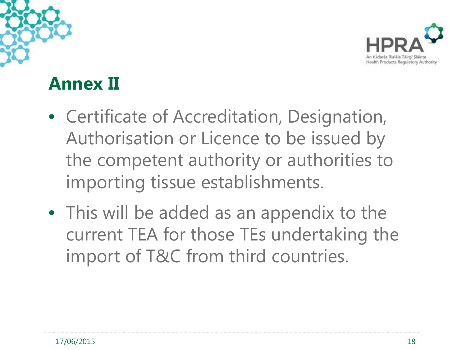



### **Annex II**

- Certificate of Accreditation, Designation, Authorisation or Licence to be issued by the competent authority or authorities to importing tissue establishments.
- This will be added as an appendix to the current TEA for those TEs undertaking the import of T&C from third countries.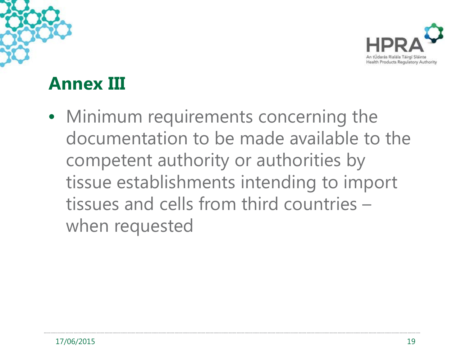



# **Annex III**

• Minimum requirements concerning the documentation to be made available to the competent authority or authorities by tissue establishments intending to import tissues and cells from third countries – when requested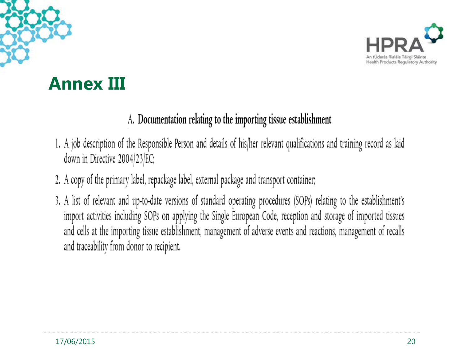



#### **Annex III**

#### A. Documentation relating to the importing tissue establishment

- 1. A job description of the Responsible Person and details of his/her relevant qualifications and training record as laid down in Directive 2004/23/EC;
- 2. A copy of the primary label, repackage label, external package and transport container;
- 3. A list of relevant and up-to-date versions of standard operating procedures (SOPs) relating to the establishment's import activities including SOPs on applying the Single European Code, reception and storage of imported tissues and cells at the importing tissue establishment, management of adverse events and reactions, management of recalls and traceability from donor to recipient.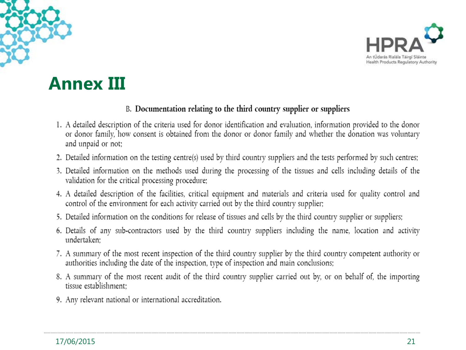



#### **Annex III**

#### B. Documentation relating to the third country supplier or suppliers

- 1. A detailed description of the criteria used for donor identification and evaluation, information provided to the donor or donor family, how consent is obtained from the donor or donor family and whether the donation was voluntary and unpaid or not;
- 2. Detailed information on the testing centre(s) used by third country suppliers and the tests performed by such centres;
- 3. Detailed information on the methods used during the processing of the tissues and cells including details of the validation for the critical processing procedure;
- 4. A detailed description of the facilities, critical equipment and materials and criteria used for quality control and control of the environment for each activity carried out by the third country supplier;
- 5. Detailed information on the conditions for release of tissues and cells by the third country supplier or suppliers;
- 6. Details of any sub-contractors used by the third country suppliers including the name, location and activity undertaken:
- 7. A summary of the most recent inspection of the third country supplier by the third country competent authority or authorities including the date of the inspection, type of inspection and main conclusions;
- 8. A summary of the most recent audit of the third country supplier carried out by, or on behalf of, the importing tissue establishment:
- 9. Any relevant national or international accreditation.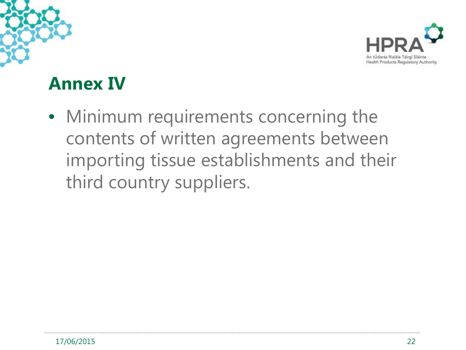



## **Annex IV**

• Minimum requirements concerning the contents of written agreements between importing tissue establishments and their third country suppliers.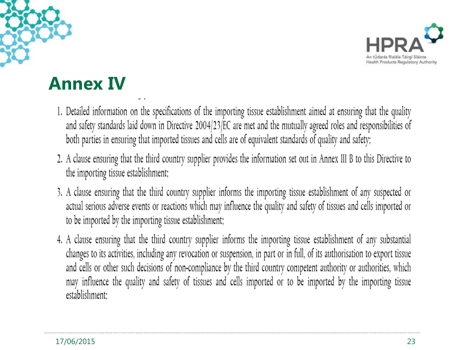



## **Annex IV**

- 1. Detailed information on the specifications of the importing tissue establishment aimed at ensuring that the quality and safety standards laid down in Directive 2004/23/EC are met and the mutually agreed roles and responsibilities of both parties in ensuring that imported tissues and cells are of equivalent standards of quality and safety;
- 2. A clause ensuring that the third country supplier provides the information set out in Annex III B to this Directive to the importing tissue establishment;
- 3. A clause ensuring that the third country supplier informs the importing tissue establishment of any suspected or actual serious adverse events or reactions which may influence the quality and safety of tissues and cells imported or to be imported by the importing tissue establishment;
- 4. A clause ensuring that the third country supplier informs the importing tissue establishment of any substantial changes to its activities, including any revocation or suspension, in part or in full, of its authorisation to export tissue and cells or other such decisions of non-compliance by the third country competent authority or authorities, which may influence the quality and safety of tissues and cells imported or to be imported by the importing tissue establishment: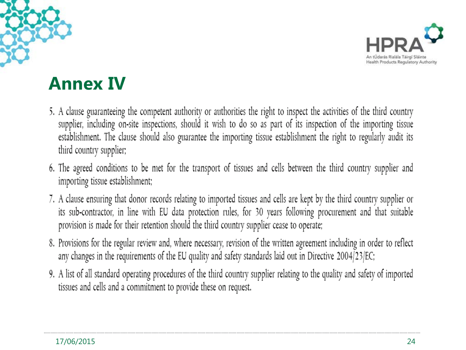



#### **Annex IV**

- 5. A clause guaranteeing the competent authority or authorities the right to inspect the activities of the third country supplier, including on-site inspections, should it wish to do so as part of its inspection of the importing tissue establishment. The clause should also guarantee the importing tissue establishment the right to regularly audit its third country supplier;
- 6. The agreed conditions to be met for the transport of tissues and cells between the third country supplier and importing tissue establishment;
- 7. A clause ensuring that donor records relating to imported tissues and cells are kept by the third country supplier or its sub-contractor, in line with EU data protection rules, for 30 years following procurement and that suitable provision is made for their retention should the third country supplier cease to operate;
- 8. Provisions for the regular review and, where necessary, revision of the written agreement including in order to reflect any changes in the requirements of the EU quality and safety standards laid out in Directive 2004/23/EC;
- 9. A list of all standard operating procedures of the third country supplier relating to the quality and safety of imported tissues and cells and a commitment to provide these on request.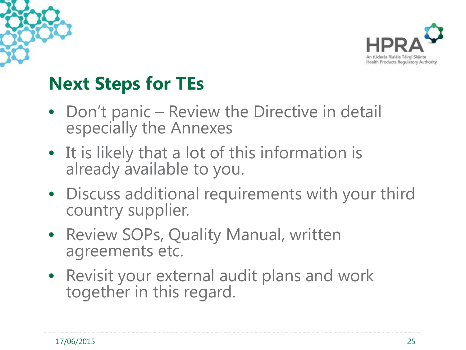



# **Next Steps for TEs**

- Don't panic Review the Directive in detail especially the Annexes
- It is likely that a lot of this information is already available to you.
- Discuss additional requirements with your third country supplier.
- Review SOPs, Quality Manual, written agreements etc.
- Revisit your external audit plans and work together in this regard.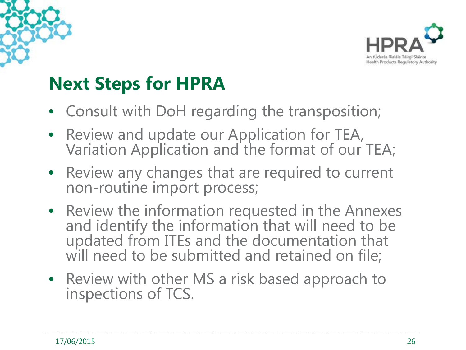



### **Next Steps for HPRA**

- Consult with DoH regarding the transposition;
- Review and update our Application for TEA, Variation Application and the format of our TEA;
- Review any changes that are required to current non-routine import process;
- Review the information requested in the Annexes and identify the information that will need to be updated from ITEs and the documentation that will need to be submitted and retained on file;
- Review with other MS a risk based approach to inspections of TCS.